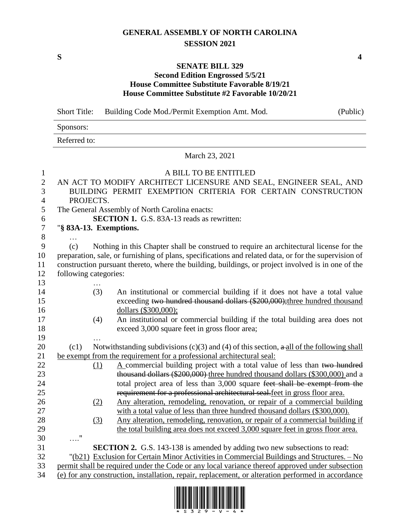## **GENERAL ASSEMBLY OF NORTH CAROLINA SESSION 2021**

**S 4**

## **SENATE BILL 329**

## **Second Edition Engrossed 5/5/21 House Committee Substitute Favorable 8/19/21 House Committee Substitute #2 Favorable 10/20/21**

Short Title: Building Code Mod./Permit Exemption Amt. Mod. (Public)

Sponsors:

Referred to:

## March 23, 2021

| 1                | A BILL TO BE ENTITLED                                                                                     |  |  |  |
|------------------|-----------------------------------------------------------------------------------------------------------|--|--|--|
| $\overline{2}$   | AN ACT TO MODIFY ARCHITECT LICENSURE AND SEAL, ENGINEER SEAL, AND                                         |  |  |  |
| 3                | BUILDING PERMIT EXEMPTION CRITERIA FOR CERTAIN CONSTRUCTION                                               |  |  |  |
| $\overline{4}$   | PROJECTS.                                                                                                 |  |  |  |
| 5                | The General Assembly of North Carolina enacts:                                                            |  |  |  |
| 6                | <b>SECTION 1.</b> G.S. 83A-13 reads as rewritten:                                                         |  |  |  |
| $\boldsymbol{7}$ | "§ 83A-13. Exemptions.                                                                                    |  |  |  |
| $\, 8$           |                                                                                                           |  |  |  |
| 9                | Nothing in this Chapter shall be construed to require an architectural license for the<br>(c)             |  |  |  |
| 10               | preparation, sale, or furnishing of plans, specifications and related data, or for the supervision of     |  |  |  |
| 11               | construction pursuant thereto, where the building, buildings, or project involved is in one of the        |  |  |  |
| 12               | following categories:                                                                                     |  |  |  |
| 13               |                                                                                                           |  |  |  |
| 14               | (3)<br>An institutional or commercial building if it does not have a total value                          |  |  |  |
| 15               | exceeding two hundred thousand dollars (\$200,000); three hundred thousand                                |  |  |  |
| 16               | dollars (\$300,000);                                                                                      |  |  |  |
| 17               | An institutional or commercial building if the total building area does not<br>(4)                        |  |  |  |
| 18               | exceed 3,000 square feet in gross floor area;                                                             |  |  |  |
| 19               |                                                                                                           |  |  |  |
| 20               | Notwithstanding subdivisions (c)(3) and (4) of this section, $\alpha$ -all of the following shall<br>(c1) |  |  |  |
| 21               | be exempt from the requirement for a professional architectural seal:                                     |  |  |  |
| 22               | A commercial building project with a total value of less than two hundred<br>(1)                          |  |  |  |
| 23               | thousand dollars (\$200,000) three hundred thousand dollars (\$300,000) and a                             |  |  |  |
| 24               | total project area of less than 3,000 square feet shall be exempt from the                                |  |  |  |
| 25               | requirement for a professional architectural seal. feet in gross floor area.                              |  |  |  |
| 26               | Any alteration, remodeling, renovation, or repair of a commercial building<br>(2)                         |  |  |  |
| 27               | with a total value of less than three hundred thousand dollars (\$300,000).                               |  |  |  |
| 28               | Any alteration, remodeling, renovation, or repair of a commercial building if<br>(3)                      |  |  |  |
| 29               | the total building area does not exceed 3,000 square feet in gross floor area.                            |  |  |  |
| 30               | $\ldots \overset{\text{\normalsize\textsf{u}}}{\cdot}$                                                    |  |  |  |
| 31               | <b>SECTION 2.</b> G.S. 143-138 is amended by adding two new subsections to read:                          |  |  |  |
| 32               | "(b21) Exclusion for Certain Minor Activities in Commercial Buildings and Structures. - No                |  |  |  |
| 33               | permit shall be required under the Code or any local variance thereof approved under subsection           |  |  |  |
| 34               | (e) for any construction, installation, repair, replacement, or alteration performed in accordance        |  |  |  |

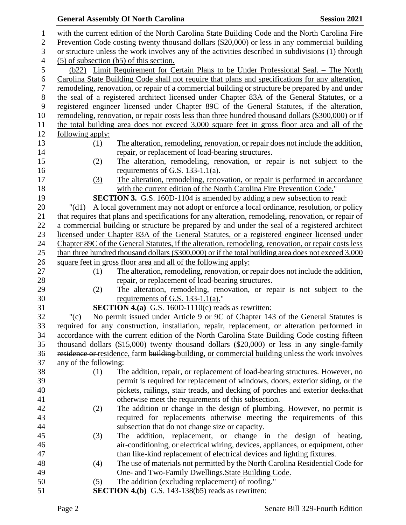|                  |                         | <b>General Assembly Of North Carolina</b>                                                                                                                                                     | <b>Session 2021</b> |
|------------------|-------------------------|-----------------------------------------------------------------------------------------------------------------------------------------------------------------------------------------------|---------------------|
| $\mathbf{1}$     |                         | with the current edition of the North Carolina State Building Code and the North Carolina Fire                                                                                                |                     |
| $\overline{2}$   |                         | Prevention Code costing twenty thousand dollars (\$20,000) or less in any commercial building                                                                                                 |                     |
| 3                |                         | or structure unless the work involves any of the activities described in subdivisions (1) through                                                                                             |                     |
| 4                |                         | $(5)$ of subsection (b5) of this section.                                                                                                                                                     |                     |
| 5                |                         | (b22) Limit Requirement for Certain Plans to be Under Professional Seal. – The North                                                                                                          |                     |
| 6                |                         | Carolina State Building Code shall not require that plans and specifications for any alteration,                                                                                              |                     |
| $\boldsymbol{7}$ |                         | remodeling, renovation, or repair of a commercial building or structure be prepared by and under                                                                                              |                     |
| $8\,$            |                         | the seal of a registered architect licensed under Chapter 83A of the General Statutes, or a                                                                                                   |                     |
| 9                |                         | registered engineer licensed under Chapter 89C of the General Statutes, if the alteration,                                                                                                    |                     |
| 10               |                         | remodeling, renovation, or repair costs less than three hundred thousand dollars (\$300,000) or if                                                                                            |                     |
| 11               |                         | the total building area does not exceed 3,000 square feet in gross floor area and all of the                                                                                                  |                     |
| 12               | <u>following apply:</u> |                                                                                                                                                                                               |                     |
| 13               | <u>(1)</u>              | The alteration, remodeling, renovation, or repair does not include the addition,                                                                                                              |                     |
| 14               |                         | repair, or replacement of load-bearing structures.                                                                                                                                            |                     |
| 15               | (2)                     | The alteration, remodeling, renovation, or repair is not subject to the                                                                                                                       |                     |
| 16               |                         | requirements of G.S. $133-1.1(a)$ .                                                                                                                                                           |                     |
| 17               | <u>(3)</u>              | The alteration, remodeling, renovation, or repair is performed in accordance                                                                                                                  |                     |
| 18               |                         | with the current edition of the North Carolina Fire Prevention Code."                                                                                                                         |                     |
| 19               |                         | <b>SECTION 3.</b> G.S. 160D-1104 is amended by adding a new subsection to read:                                                                                                               |                     |
| 20               | $"(\text{d}1)$          | A local government may not adopt or enforce a local ordinance, resolution, or policy                                                                                                          |                     |
| 21               |                         | that requires that plans and specifications for any alteration, remodeling, renovation, or repair of                                                                                          |                     |
| 22<br>23         |                         | a commercial building or structure be prepared by and under the seal of a registered architect<br>licensed under Chapter 83A of the General Statutes, or a registered engineer licensed under |                     |
| 24               |                         | Chapter 89C of the General Statutes, if the alteration, remodeling, renovation, or repair costs less                                                                                          |                     |
| 25               |                         | than three hundred thousand dollars $(\$300,000)$ or if the total building area does not exceed $3,000$                                                                                       |                     |
| 26               |                         | square feet in gross floor area and all of the following apply:                                                                                                                               |                     |
| 27               | (1)                     | The alteration, remodeling, renovation, or repair does not include the addition,                                                                                                              |                     |
| 28               |                         | repair, or replacement of load-bearing structures.                                                                                                                                            |                     |
| 29               | (2)                     | The alteration, remodeling, renovation, or repair is not subject to the                                                                                                                       |                     |
| 30               |                         | requirements of G.S. 133-1.1(a)."                                                                                                                                                             |                     |
| 31               |                         | <b>SECTION 4.(a)</b> G.S. 160D-1110(c) reads as rewritten:                                                                                                                                    |                     |
| 32               | " $(c)$                 | No permit issued under Article 9 or 9C of Chapter 143 of the General Statutes is                                                                                                              |                     |
| 33               |                         | required for any construction, installation, repair, replacement, or alteration performed in                                                                                                  |                     |
| 34               |                         | accordance with the current edition of the North Carolina State Building Code costing fifteen                                                                                                 |                     |
| 35               |                         | thousand dollars (\$15,000) twenty thousand dollars (\$20,000) or less in any single-family                                                                                                   |                     |
| 36               |                         | residence or residence, farm building building, or commercial building unless the work involves                                                                                               |                     |
| 37               | any of the following:   |                                                                                                                                                                                               |                     |
| 38               | (1)                     | The addition, repair, or replacement of load-bearing structures. However, no                                                                                                                  |                     |
| 39               |                         | permit is required for replacement of windows, doors, exterior siding, or the                                                                                                                 |                     |
| 40               |                         | pickets, railings, stair treads, and decking of porches and exterior decks.that                                                                                                               |                     |
| 41               |                         | otherwise meet the requirements of this subsection.                                                                                                                                           |                     |
| 42               | (2)                     | The addition or change in the design of plumbing. However, no permit is                                                                                                                       |                     |
| 43               |                         | required for replacements otherwise meeting the requirements of this                                                                                                                          |                     |
| 44               |                         | subsection that do not change size or capacity.                                                                                                                                               |                     |
| 45<br>46         | (3)                     | The addition, replacement, or change in the design of heating,<br>air-conditioning, or electrical wiring, devices, appliances, or equipment, other                                            |                     |
| 47               |                         | than like-kind replacement of electrical devices and lighting fixtures.                                                                                                                       |                     |
| 48               | (4)                     | The use of materials not permitted by the North Carolina Residential Code for                                                                                                                 |                     |
| 49               |                         | One- and Two-Family Dwellings. State Building Code.                                                                                                                                           |                     |
| 50               | (5)                     | The addition (excluding replacement) of roofing."                                                                                                                                             |                     |
| 51               |                         | <b>SECTION 4.(b)</b> G.S. 143-138( $b5$ ) reads as rewritten:                                                                                                                                 |                     |
|                  |                         |                                                                                                                                                                                               |                     |